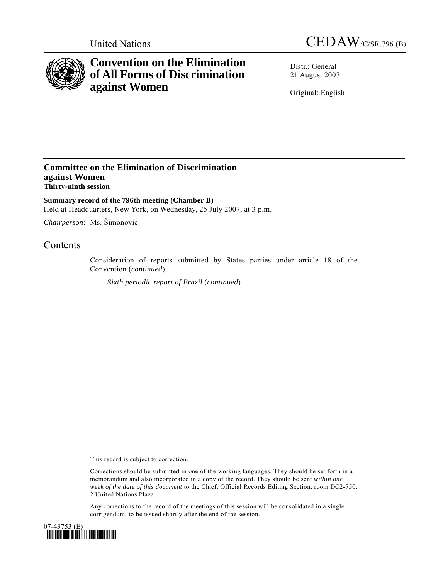

# **Convention on the Elimination of All Forms of Discrimination against Women**

United Nations CEDAW/C/SR.796 (B)

Distr.: General 21 August 2007

Original: English

### **Committee on the Elimination of Discrimination against Women Thirty-ninth session**

**Summary record of the 796th meeting (Chamber B)**  Held at Headquarters, New York, on Wednesday, 25 July 2007, at 3 p.m.

*Chairperson*: Ms. Šimonović

## **Contents**

Consideration of reports submitted by States parties under article 18 of the Convention (*continued*)

*Sixth periodic report of Brazil* (*continued*)

This record is subject to correction.

Corrections should be submitted in one of the working languages. They should be set forth in a memorandum and also incorporated in a copy of the record. They should be sent *within one week of the date of this document* to the Chief, Official Records Editing Section, room DC2-750, 2 United Nations Plaza.

Any corrections to the record of the meetings of this session will be consolidated in a single corrigendum, to be issued shortly after the end of the session.

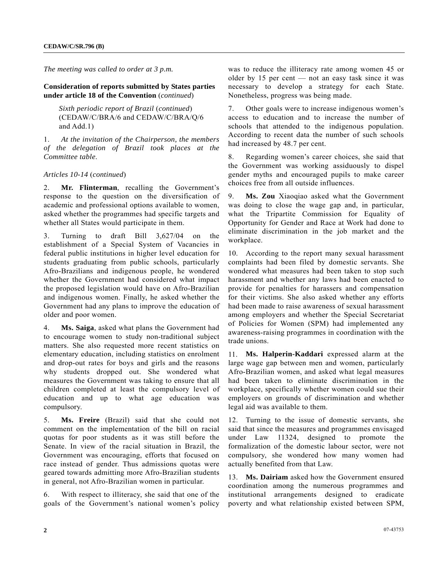*The meeting was called to order at 3 p.m.* 

**Consideration of reports submitted by States parties under article 18 of the Convention** (*continued*)

*Sixth periodic report of Brazil* (*continued*) (CEDAW/C/BRA/6 and CEDAW/C/BRA/Q/6 and Add.1)

1. *At the invitation of the Chairperson, the members of the delegation of Brazil took places at the Committee table*.

*Articles 10-14* (*continued*)

2. **Mr. Flinterman**, recalling the Government's response to the question on the diversification of academic and professional options available to women, asked whether the programmes had specific targets and whether all States would participate in them.

3. Turning to draft Bill 3,627/04 on the establishment of a Special System of Vacancies in federal public institutions in higher level education for students graduating from public schools, particularly Afro-Brazilians and indigenous people, he wondered whether the Government had considered what impact the proposed legislation would have on Afro-Brazilian and indigenous women. Finally, he asked whether the Government had any plans to improve the education of older and poor women.

4. **Ms. Saiga**, asked what plans the Government had to encourage women to study non-traditional subject matters. She also requested more recent statistics on elementary education, including statistics on enrolment and drop-out rates for boys and girls and the reasons why students dropped out. She wondered what measures the Government was taking to ensure that all children completed at least the compulsory level of education and up to what age education was compulsory.

5. **Ms. Freire** (Brazil) said that she could not comment on the implementation of the bill on racial quotas for poor students as it was still before the Senate. In view of the racial situation in Brazil, the Government was encouraging, efforts that focused on race instead of gender. Thus admissions quotas were geared towards admitting more Afro-Brazilian students in general, not Afro-Brazilian women in particular.

6. With respect to illiteracy, she said that one of the goals of the Government's national women's policy was to reduce the illiteracy rate among women 45 or older by 15 per cent — not an easy task since it was necessary to develop a strategy for each State. Nonetheless, progress was being made.

7. Other goals were to increase indigenous women's access to education and to increase the number of schools that attended to the indigenous population. According to recent data the number of such schools had increased by 48.7 per cent.

8. Regarding women's career choices, she said that the Government was working assiduously to dispel gender myths and encouraged pupils to make career choices free from all outside influences.

9. **Ms. Zou** Xiaoqiao asked what the Government was doing to close the wage gap and, in particular, what the Tripartite Commission for Equality of Opportunity for Gender and Race at Work had done to eliminate discrimination in the job market and the workplace.

10. According to the report many sexual harassment complaints had been filed by domestic servants. She wondered what measures had been taken to stop such harassment and whether any laws had been enacted to provide for penalties for harassers and compensation for their victims. She also asked whether any efforts had been made to raise awareness of sexual harassment among employers and whether the Special Secretariat of Policies for Women (SPM) had implemented any awareness-raising programmes in coordination with the trade unions.

11. **Ms. Halperin-Kaddari** expressed alarm at the large wage gap between men and women, particularly Afro-Brazilian women, and asked what legal measures had been taken to eliminate discrimination in the workplace, specifically whether women could sue their employers on grounds of discrimination and whether legal aid was available to them.

12. Turning to the issue of domestic servants, she said that since the measures and programmes envisaged under Law 11324, designed to promote the formalization of the domestic labour sector, were not compulsory, she wondered how many women had actually benefited from that Law.

13. **Ms. Dairiam** asked how the Government ensured coordination among the numerous programmes and institutional arrangements designed to eradicate poverty and what relationship existed between SPM,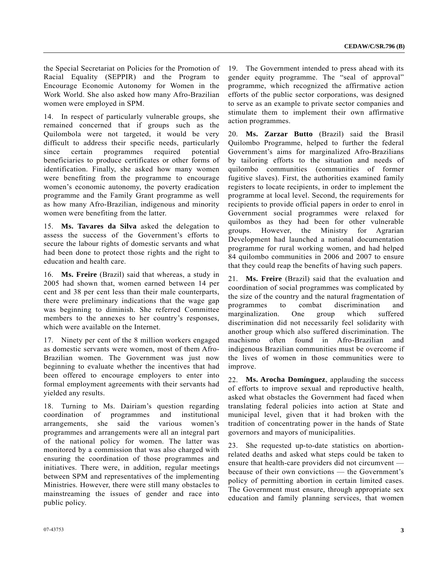the Special Secretariat on Policies for the Promotion of Racial Equality (SEPPIR) and the Program to Encourage Economic Autonomy for Women in the Work World. She also asked how many Afro-Brazilian women were employed in SPM.

14. In respect of particularly vulnerable groups, she remained concerned that if groups such as the Quilombola were not targeted, it would be very difficult to address their specific needs, particularly since certain programmes required potential beneficiaries to produce certificates or other forms of identification. Finally, she asked how many women were benefiting from the programme to encourage women's economic autonomy, the poverty eradication programme and the Family Grant programme as well as how many Afro-Brazilian, indigenous and minority women were benefiting from the latter.

15. **Ms. Tavares da Silva** asked the delegation to assess the success of the Government's efforts to secure the labour rights of domestic servants and what had been done to protect those rights and the right to education and health care.

16. **Ms. Freire** (Brazil) said that whereas, a study in 2005 had shown that, women earned between 14 per cent and 38 per cent less than their male counterparts, there were preliminary indications that the wage gap was beginning to diminish. She referred Committee members to the annexes to her country's responses, which were available on the Internet.

17. Ninety per cent of the 8 million workers engaged as domestic servants were women, most of them Afro-Brazilian women. The Government was just now beginning to evaluate whether the incentives that had been offered to encourage employers to enter into formal employment agreements with their servants had yielded any results.

18. Turning to Ms. Dairiam's question regarding coordination of programmes and institutional arrangements, she said the various women's programmes and arrangements were all an integral part of the national policy for women. The latter was monitored by a commission that was also charged with ensuring the coordination of those programmes and initiatives. There were, in addition, regular meetings between SPM and representatives of the implementing Ministries. However, there were still many obstacles to mainstreaming the issues of gender and race into public policy.

19. The Government intended to press ahead with its gender equity programme. The "seal of approval" programme, which recognized the affirmative action efforts of the public sector corporations, was designed to serve as an example to private sector companies and stimulate them to implement their own affirmative action programmes.

20. **Ms. Zarzar Butto** (Brazil) said the Brasil Quilombo Programme, helped to further the federal Government's aims for marginalized Afro-Brazilians by tailoring efforts to the situation and needs of quilombo communities (communities of former fugitive slaves). First, the authorities examined family registers to locate recipients, in order to implement the programme at local level. Second, the requirements for recipients to provide official papers in order to enrol in Government social programmes were relaxed for quilombos as they had been for other vulnerable groups. However, the Ministry for Agrarian Development had launched a national documentation programme for rural working women, and had helped 84 quilombo communities in 2006 and 2007 to ensure that they could reap the benefits of having such papers.

21. **Ms. Freire** (Brazil) said that the evaluation and coordination of social programmes was complicated by the size of the country and the natural fragmentation of programmes to combat discrimination and marginalization. One group which suffered discrimination did not necessarily feel solidarity with another group which also suffered discrimination. The machismo often found in Afro-Brazilian and indigenous Brazilian communities must be overcome if the lives of women in those communities were to improve.

22. **Ms. Arocha Domínguez**, applauding the success of efforts to improve sexual and reproductive health, asked what obstacles the Government had faced when translating federal policies into action at State and municipal level, given that it had broken with the tradition of concentrating power in the hands of State governors and mayors of municipalities.

23. She requested up-to-date statistics on abortionrelated deaths and asked what steps could be taken to ensure that health-care providers did not circumvent because of their own convictions — the Government's policy of permitting abortion in certain limited cases. The Government must ensure, through appropriate sex education and family planning services, that women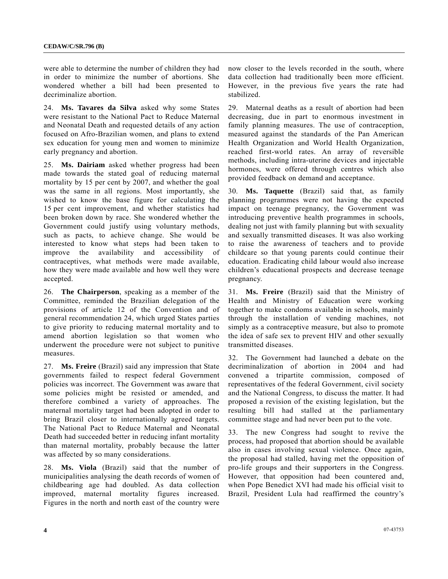were able to determine the number of children they had in order to minimize the number of abortions. She wondered whether a bill had been presented to decriminalize abortion.

24. **Ms. Tavares da Silva** asked why some States were resistant to the National Pact to Reduce Maternal and Neonatal Death and requested details of any action focused on Afro-Brazilian women, and plans to extend sex education for young men and women to minimize early pregnancy and abortion.

25. **Ms. Dairiam** asked whether progress had been made towards the stated goal of reducing maternal mortality by 15 per cent by 2007, and whether the goal was the same in all regions. Most importantly, she wished to know the base figure for calculating the 15 per cent improvement, and whether statistics had been broken down by race. She wondered whether the Government could justify using voluntary methods, such as pacts, to achieve change. She would be interested to know what steps had been taken to improve the availability and accessibility of contraceptives, what methods were made available, how they were made available and how well they were accepted.

26. **The Chairperson**, speaking as a member of the Committee, reminded the Brazilian delegation of the provisions of article 12 of the Convention and of general recommendation 24, which urged States parties to give priority to reducing maternal mortality and to amend abortion legislation so that women who underwent the procedure were not subject to punitive measures.

27. **Ms. Freire** (Brazil) said any impression that State governments failed to respect federal Government policies was incorrect. The Government was aware that some policies might be resisted or amended, and therefore combined a variety of approaches. The maternal mortality target had been adopted in order to bring Brazil closer to internationally agreed targets. The National Pact to Reduce Maternal and Neonatal Death had succeeded better in reducing infant mortality than maternal mortality, probably because the latter was affected by so many considerations.

28. **Ms. Viola** (Brazil) said that the number of municipalities analysing the death records of women of childbearing age had doubled. As data collection improved, maternal mortality figures increased. Figures in the north and north east of the country were

now closer to the levels recorded in the south, where data collection had traditionally been more efficient. However, in the previous five years the rate had stabilized.

29. Maternal deaths as a result of abortion had been decreasing, due in part to enormous investment in family planning measures. The use of contraception, measured against the standards of the Pan American Health Organization and World Health Organization, reached first-world rates. An array of reversible methods, including intra-uterine devices and injectable hormones, were offered through centres which also provided feedback on demand and acceptance.

30. **Ms. Taquette** (Brazil) said that, as family planning programmes were not having the expected impact on teenage pregnancy, the Government was introducing preventive health programmes in schools, dealing not just with family planning but with sexuality and sexually transmitted diseases. It was also working to raise the awareness of teachers and to provide childcare so that young parents could continue their education. Eradicating child labour would also increase children's educational prospects and decrease teenage pregnancy.

31. **Ms. Freire** (Brazil) said that the Ministry of Health and Ministry of Education were working together to make condoms available in schools, mainly through the installation of vending machines, not simply as a contraceptive measure, but also to promote the idea of safe sex to prevent HIV and other sexually transmitted diseases.

32. The Government had launched a debate on the decriminalization of abortion in 2004 and had convened a tripartite commission, composed of representatives of the federal Government, civil society and the National Congress, to discuss the matter. It had proposed a revision of the existing legislation, but the resulting bill had stalled at the parliamentary committee stage and had never been put to the vote.

33. The new Congress had sought to revive the process, had proposed that abortion should be available also in cases involving sexual violence. Once again, the proposal had stalled, having met the opposition of pro-life groups and their supporters in the Congress. However, that opposition had been countered and, when Pope Benedict XVI had made his official visit to Brazil, President Lula had reaffirmed the country's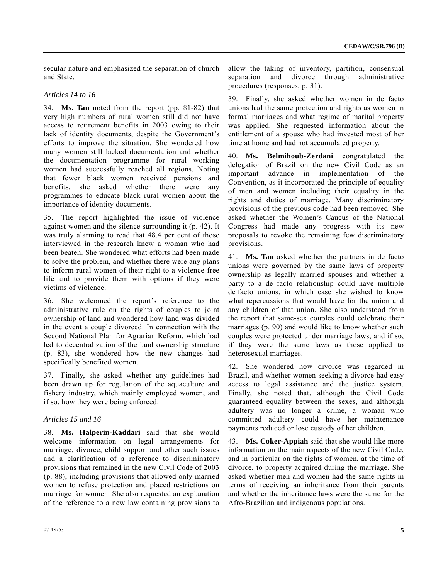secular nature and emphasized the separation of church and State.

#### *Articles 14 to 16*

34. **Ms. Tan** noted from the report (pp. 81-82) that very high numbers of rural women still did not have access to retirement benefits in 2003 owing to their lack of identity documents, despite the Government's efforts to improve the situation. She wondered how many women still lacked documentation and whether the documentation programme for rural working women had successfully reached all regions. Noting that fewer black women received pensions and benefits, she asked whether there were any programmes to educate black rural women about the importance of identity documents.

35. The report highlighted the issue of violence against women and the silence surrounding it (p. 42). It was truly alarming to read that 48.4 per cent of those interviewed in the research knew a woman who had been beaten. She wondered what efforts had been made to solve the problem, and whether there were any plans to inform rural women of their right to a violence-free life and to provide them with options if they were victims of violence.

36. She welcomed the report's reference to the administrative rule on the rights of couples to joint ownership of land and wondered how land was divided in the event a couple divorced. In connection with the Second National Plan for Agrarian Reform, which had led to decentralization of the land ownership structure (p. 83), she wondered how the new changes had specifically benefited women.

37. Finally, she asked whether any guidelines had been drawn up for regulation of the aquaculture and fishery industry, which mainly employed women, and if so, how they were being enforced.

### *Articles 15 and 16*

38. **Ms. Halperin-Kaddari** said that she would welcome information on legal arrangements for marriage, divorce, child support and other such issues and a clarification of a reference to discriminatory provisions that remained in the new Civil Code of 2003 (p. 88), including provisions that allowed only married women to refuse protection and placed restrictions on marriage for women. She also requested an explanation of the reference to a new law containing provisions to allow the taking of inventory, partition, consensual separation and divorce through administrative procedures (responses, p. 31).

39. Finally, she asked whether women in de facto unions had the same protection and rights as women in formal marriages and what regime of marital property was applied. She requested information about the entitlement of a spouse who had invested most of her time at home and had not accumulated property.

40. **Ms. Belmihoub-Zerdani** congratulated the delegation of Brazil on the new Civil Code as an important advance in implementation of the Convention, as it incorporated the principle of equality of men and women including their equality in the rights and duties of marriage. Many discriminatory provisions of the previous code had been removed. She asked whether the Women's Caucus of the National Congress had made any progress with its new proposals to revoke the remaining few discriminatory provisions.

41. **Ms. Tan** asked whether the partners in de facto unions were governed by the same laws of property ownership as legally married spouses and whether a party to a de facto relationship could have multiple de facto unions, in which case she wished to know what repercussions that would have for the union and any children of that union. She also understood from the report that same-sex couples could celebrate their marriages (p. 90) and would like to know whether such couples were protected under marriage laws, and if so, if they were the same laws as those applied to heterosexual marriages.

42. She wondered how divorce was regarded in Brazil, and whether women seeking a divorce had easy access to legal assistance and the justice system. Finally, she noted that, although the Civil Code guaranteed equality between the sexes, and although adultery was no longer a crime, a woman who committed adultery could have her maintenance payments reduced or lose custody of her children.

43. **Ms. Coker-Appiah** said that she would like more information on the main aspects of the new Civil Code, and in particular on the rights of women, at the time of divorce, to property acquired during the marriage. She asked whether men and women had the same rights in terms of receiving an inheritance from their parents and whether the inheritance laws were the same for the Afro-Brazilian and indigenous populations.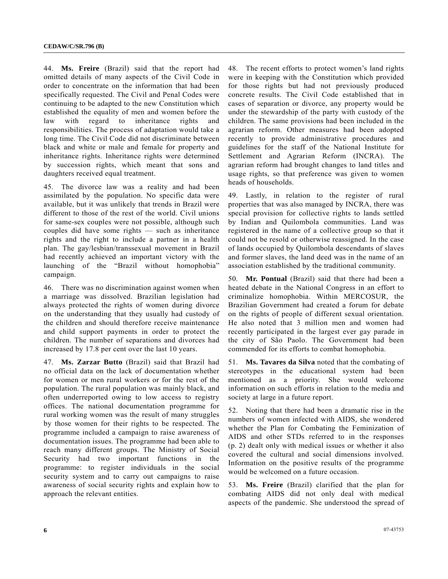44. **Ms. Freire** (Brazil) said that the report had omitted details of many aspects of the Civil Code in order to concentrate on the information that had been specifically requested. The Civil and Penal Codes were continuing to be adapted to the new Constitution which established the equality of men and women before the law with regard to inheritance rights and responsibilities. The process of adaptation would take a long time. The Civil Code did not discriminate between black and white or male and female for property and inheritance rights. Inheritance rights were determined by succession rights, which meant that sons and daughters received equal treatment.

45. The divorce law was a reality and had been assimilated by the population. No specific data were available, but it was unlikely that trends in Brazil were different to those of the rest of the world. Civil unions for same-sex couples were not possible, although such couples did have some rights — such as inheritance rights and the right to include a partner in a health plan. The gay/lesbian/transsexual movement in Brazil had recently achieved an important victory with the launching of the "Brazil without homophobia" campaign.

46. There was no discrimination against women when a marriage was dissolved. Brazilian legislation had always protected the rights of women during divorce on the understanding that they usually had custody of the children and should therefore receive maintenance and child support payments in order to protect the children. The number of separations and divorces had increased by 17.8 per cent over the last 10 years.

47. **Ms. Zarzar Butto** (Brazil) said that Brazil had no official data on the lack of documentation whether for women or men rural workers or for the rest of the population. The rural population was mainly black, and often underreported owing to low access to registry offices. The national documentation programme for rural working women was the result of many struggles by those women for their rights to be respected. The programme included a campaign to raise awareness of documentation issues. The programme had been able to reach many different groups. The Ministry of Social Security had two important functions in the programme: to register individuals in the social security system and to carry out campaigns to raise awareness of social security rights and explain how to approach the relevant entities.

48. The recent efforts to protect women's land rights were in keeping with the Constitution which provided for those rights but had not previously produced concrete results. The Civil Code established that in cases of separation or divorce, any property would be under the stewardship of the party with custody of the children. The same provisions had been included in the agrarian reform. Other measures had been adopted recently to provide administrative procedures and guidelines for the staff of the National Institute for Settlement and Agrarian Reform (INCRA). The agrarian reform had brought changes to land titles and usage rights, so that preference was given to women heads of households.

49. Lastly, in relation to the register of rural properties that was also managed by INCRA, there was special provision for collective rights to lands settled by Indian and Quilombola communities. Land was registered in the name of a collective group so that it could not be resold or otherwise reassigned. In the case of lands occupied by Quilombola descendants of slaves and former slaves, the land deed was in the name of an association established by the traditional community.

50. **Mr. Pontual** (Brazil) said that there had been a heated debate in the National Congress in an effort to criminalize homophobia. Within MERCOSUR, the Brazilian Government had created a forum for debate on the rights of people of different sexual orientation. He also noted that 3 million men and women had recently participated in the largest ever gay parade in the city of São Paolo. The Government had been commended for its efforts to combat homophobia.

51. **Ms. Tavares da Silva** noted that the combating of stereotypes in the educational system had been mentioned as a priority. She would welcome information on such efforts in relation to the media and society at large in a future report.

52. Noting that there had been a dramatic rise in the numbers of women infected with AIDS, she wondered whether the Plan for Combating the Feminization of AIDS and other STDs referred to in the responses (p. 2) dealt only with medical issues or whether it also covered the cultural and social dimensions involved. Information on the positive results of the programme would be welcomed on a future occasion.

53. **Ms. Freire** (Brazil) clarified that the plan for combating AIDS did not only deal with medical aspects of the pandemic. She understood the spread of